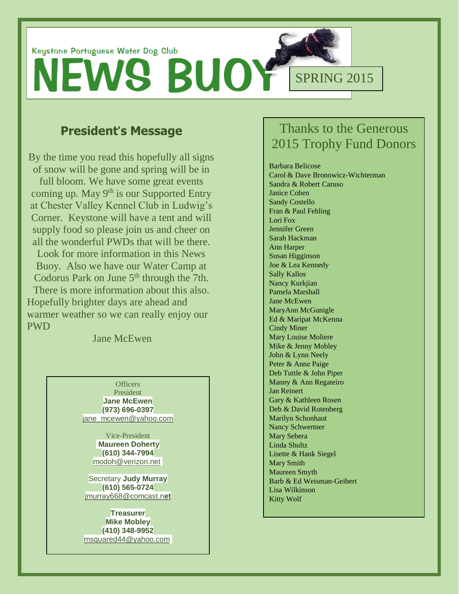

## **President**'**s Message**

By the time you read this hopefully all signs of snow will be gone and spring will be in full bloom. We have some great events coming up. May 9<sup>th</sup> is our Supported Entry at Chester Valley Kennel Club in Ludwig's Corner. Keystone will have a tent and will supply food so please join us and cheer on all the wonderful PWDs that will be there. Look for more information in this News Buoy. Also we have our Water Camp at Codorus Park on June  $5<sup>th</sup>$  through the 7th. There is more information about this also. Hopefully brighter days are ahead and warmer weather so we can really enjoy our PWD

Jane McEwen

**Officers** President **Jane McEwen (973) 696-0397** [jane\\_mcewen@yahoo.com](mailto:jane_mcewen@yahoo.com)

> Vice-President **Maureen Doherty (610) 344-7994** [modoh@verizon.net](mailto:modoh@verizon.net)

Secretary **Judy Murray (610) 565-0724** [jmurray668@comcast.n](mailto:jmurray668@comcast.net)**et**

**Treasurer Mike Mobley (410) 348-9952** [msquared44@yahoo.com](mailto:msquared44@yahoo.com)

## Thanks to the Generous 2015 Trophy Fund Donors

Barbara Belicose Carol & Dave Bronowicz-Wichterman Sandra & Robert Caruso Janice Cohen Sandy Costello Fran & Paul Fehling Lori Fox Jennifer Green Sarah Hackman Ann Harper Susan Higginson Joe & Lea Kennedy Sally Kallos Nancy Kurkjian Pamela Marshall Jane McEwen MaryAnn McGunigle Ed & Maripat McKenna Cindy Miner Mary Louise Moliere Mike & Jenny Mobley John & Lynn Neely Peter & Anne Paige Deb Tuttle & John Piper Manny & Ann Regateiro Jan Reinert Gary & Kathleen Rosen Deb & David Rotenberg Marilyn Schonhaut Nancy Schwertner Mary Sebera Linda Shultz Lisette & Hank Siegel Mary Smith Maureen Smyth Barb & Ed Weisman-Geibert Lisa Wilkinson Kitty Wolf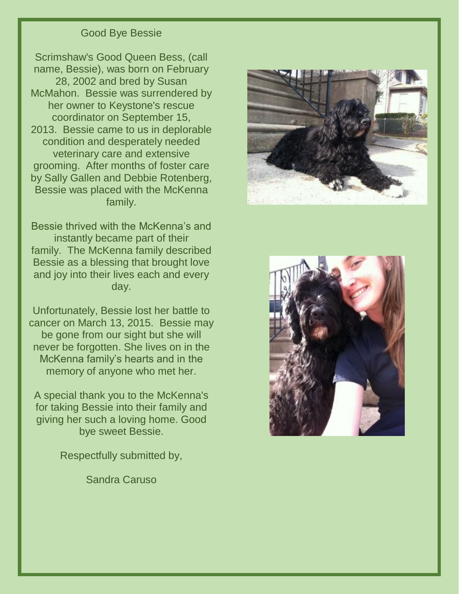#### Good Bye Bessie

Scrimshaw's Good Queen Bess, (call name, Bessie), was born on February 28, 2002 and bred by Susan McMahon. Bessie was surrendered by her owner to Keystone's rescue coordinator on September 15, 2013. Bessie came to us in deplorable condition and desperately needed veterinary care and extensive grooming. After months of foster care by Sally Gallen and Debbie Rotenberg, Bessie was placed with the McKenna family.

Bessie thrived with the McKenna's and instantly became part of their family. The McKenna family described Bessie as a blessing that brought love and joy into their lives each and every day.

Unfortunately, Bessie lost her battle to cancer on March 13, 2015. Bessie may be gone from our sight but she will never be forgotten. She lives on in the McKenna family's hearts and in the memory of anyone who met her.

A special thank you to the McKenna's for taking Bessie into their family and giving her such a loving home. Good bye sweet Bessie.

Respectfully submitted by,

Sandra Caruso



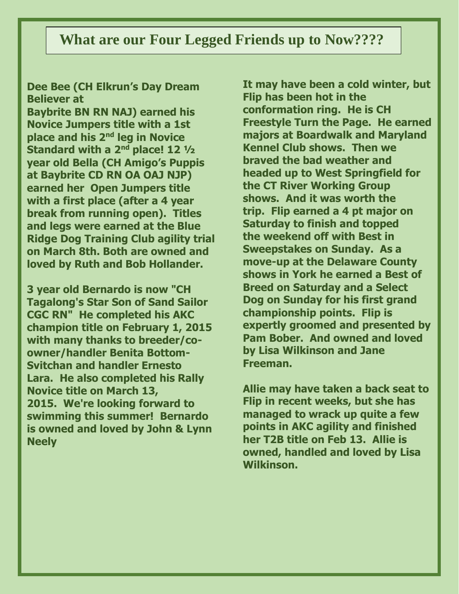## **What are our Four Legged Friends up to Now????**

### **Dee Bee (CH Elkrun's Day Dream Believer at**

**Baybrite BN RN NAJ) earned his Novice Jumpers title with a 1st place and his 2nd leg in Novice Standard with a 2nd place! 12 ½ year old Bella (CH Amigo's Puppis at Baybrite CD RN OA OAJ NJP) earned her Open Jumpers title with a first place (after a 4 year break from running open). Titles and legs were earned at the Blue Ridge Dog Training Club agility trial on March 8th. Both are owned and loved by Ruth and Bob Hollander.**

**3 year old Bernardo is now "CH Tagalong's Star Son of Sand Sailor CGC RN" He completed his AKC champion title on February 1, 2015 with many thanks to breeder/coowner/handler Benita Bottom-Svitchan and handler Ernesto Lara. He also completed his Rally Novice title on March 13, 2015. We're looking forward to swimming this summer! Bernardo is owned and loved by John & Lynn Neely** 

**It may have been a cold winter, but Flip has been hot in the conformation ring. He is CH Freestyle Turn the Page. He earned majors at Boardwalk and Maryland Kennel Club shows. Then we braved the bad weather and headed up to West Springfield for the CT River Working Group shows. And it was worth the trip. Flip earned a 4 pt major on Saturday to finish and topped the weekend off with Best in Sweepstakes on Sunday. As a move-up at the Delaware County shows in York he earned a Best of Breed on Saturday and a Select Dog on Sunday for his first grand championship points. Flip is expertly groomed and presented by Pam Bober. And owned and loved by Lisa Wilkinson and Jane Freeman.** 

**Allie may have taken a back seat to Flip in recent weeks, but she has managed to wrack up quite a few points in AKC agility and finished her T2B title on Feb 13. Allie is owned, handled and loved by Lisa Wilkinson.**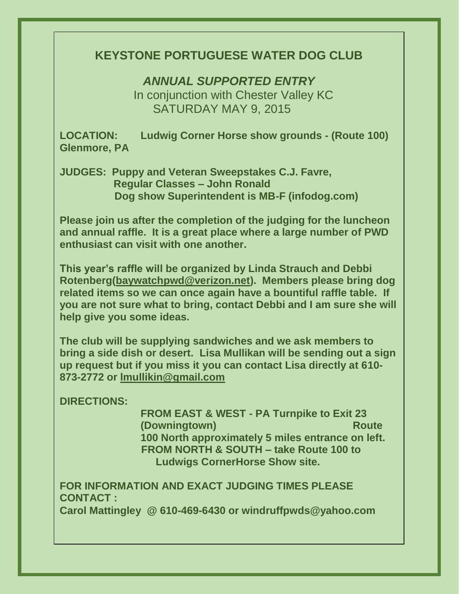## **KEYSTONE PORTUGUESE WATER DOG CLUB**

*ANNUAL SUPPORTED ENTRY* 

 In conjunction with Chester Valley KC SATURDAY MAY 9, 2015

**LOCATION: Ludwig Corner Horse show grounds - (Route 100) Glenmore, PA**

**JUDGES: Puppy and Veteran Sweepstakes C.J. Favre, Regular Classes – John Ronald Dog show Superintendent is MB-F (infodog.com)**

**Please join us after the completion of the judging for the luncheon and annual raffle. It is a great place where a large number of PWD enthusiast can visit with one another.**

**This year's raffle will be organized by Linda Strauch and Debbi Rotenberg[\(baywatchpwd@verizon.net\)](mailto:baywatchpwd@verizon.net). Members please bring dog related items so we can once again have a bountiful raffle table. If you are not sure what to bring, contact Debbi and I am sure she will help give you some ideas.**

**The club will be supplying sandwiches and we ask members to bring a side dish or desert. Lisa Mullikan will be sending out a sign up request but if you miss it you can contact Lisa directly at 610- 873-2772 or [lmullikin@gmail.com](mailto:lmullikin@gmail.com)**

**DIRECTIONS:** 

**FROM EAST & WEST - PA Turnpike to Exit 23 (Downingtown)** Route **Route Route 100 North approximately 5 miles entrance on left. FROM NORTH & SOUTH – take Route 100 to Ludwigs CornerHorse Show site.**

**FOR INFORMATION AND EXACT JUDGING TIMES PLEASE CONTACT : Carol Mattingley @ 610-469-6430 or windruffpwds@yahoo.com**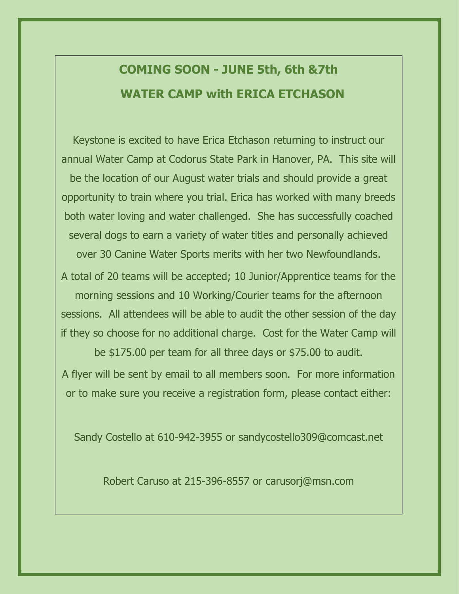# **COMING SOON - JUNE 5th, 6th &7th WATER CAMP with ERICA ETCHASON**

Keystone is excited to have Erica Etchason returning to instruct our annual Water Camp at Codorus State Park in Hanover, PA. This site will be the location of our August water trials and should provide a great opportunity to train where you trial. Erica has worked with many breeds both water loving and water challenged. She has successfully coached several dogs to earn a variety of water titles and personally achieved over 30 Canine Water Sports merits with her two Newfoundlands.

A total of 20 teams will be accepted; 10 Junior/Apprentice teams for the morning sessions and 10 Working/Courier teams for the afternoon sessions. All attendees will be able to audit the other session of the day if they so choose for no additional charge. Cost for the Water Camp will be \$175.00 per team for all three days or \$75.00 to audit.

A flyer will be sent by email to all members soon. For more information

or to make sure you receive a registration form, please contact either:

Sandy Costello at 610-942-3955 or sandycostello309@comcast.net

Robert Caruso at 215-396-8557 or carusorj@msn.com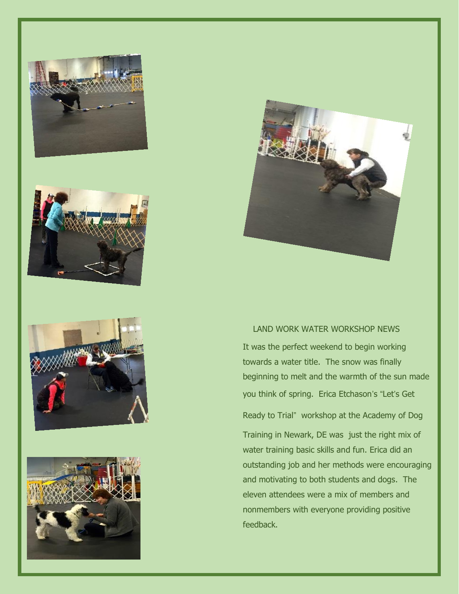









#### LAND WORK WATER WORKSHOP NEWS

It was the perfect weekend to begin working towards a water title. The snow was finally beginning to melt and the warmth of the sun made you think of spring. Erica Etchason's "Let's Get

Ready to Trial" workshop at the Academy of Dog

Training in Newark, DE was just the right mix of water training basic skills and fun. Erica did an outstanding job and her methods were encouraging and motivating to both students and dogs. The eleven attendees were a mix of members and nonmembers with everyone providing positive feedback.